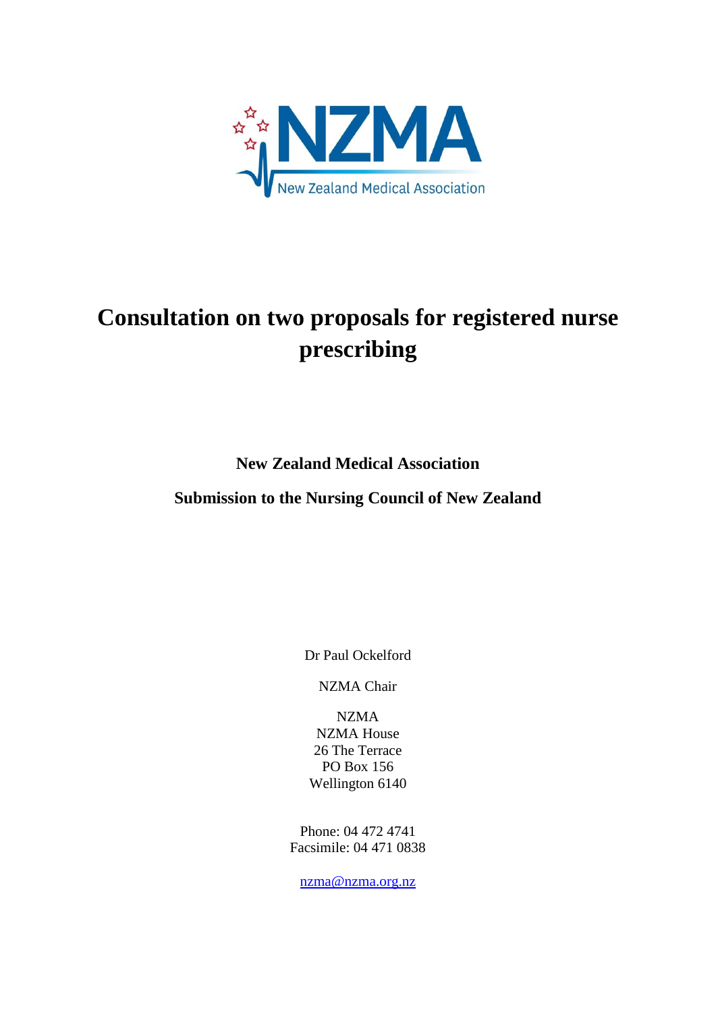

# **Consultation on two proposals for registered nurse prescribing**

**New Zealand Medical Association** 

**Submission to the Nursing Council of New Zealand**

Dr Paul Ockelford

NZMA Chair

NZMA NZMA House 26 The Terrace PO Box 156 Wellington 6140

Phone: 04 472 4741 Facsimile: 04 471 0838

[nzma@nzma.org.nz](mailto:nzma@nzma.org.nz)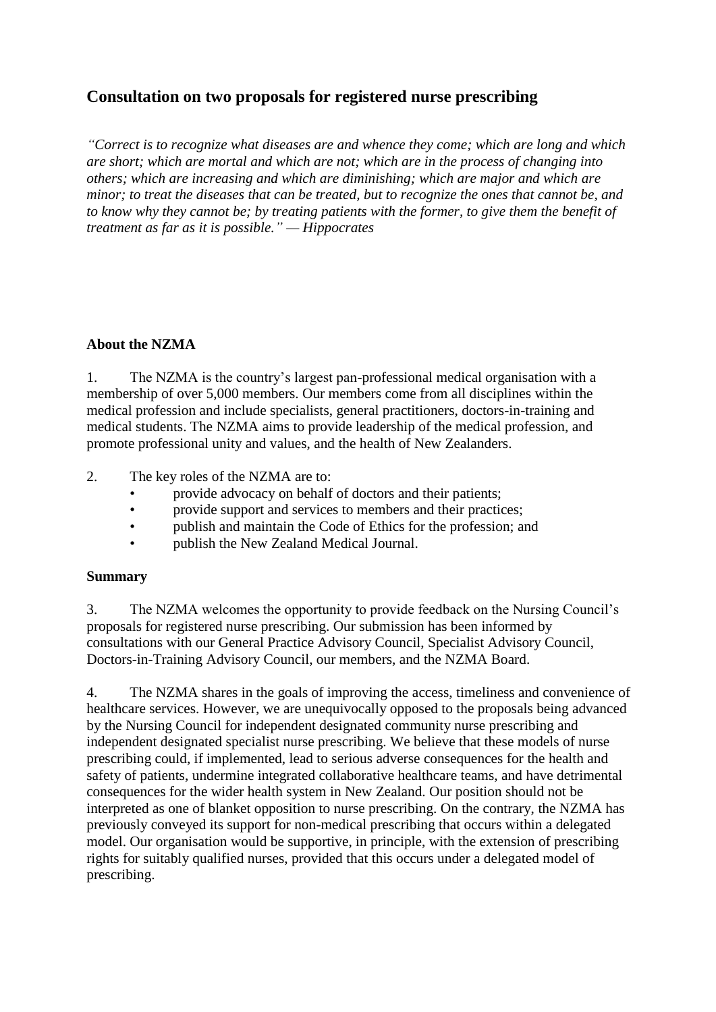## **Consultation on two proposals for registered nurse prescribing**

*"Correct is to recognize what diseases are and whence they come; which are long and which are short; which are mortal and which are not; which are in the process of changing into others; which are increasing and which are diminishing; which are major and which are minor; to treat the diseases that can be treated, but to recognize the ones that cannot be, and to know why they cannot be; by treating patients with the former, to give them the benefit of treatment as far as it is possible." — Hippocrates*

#### **About the NZMA**

1. The NZMA is the country's largest pan-professional medical organisation with a membership of over 5,000 members. Our members come from all disciplines within the medical profession and include specialists, general practitioners, doctors-in-training and medical students. The NZMA aims to provide leadership of the medical profession, and promote professional unity and values, and the health of New Zealanders.

2. The key roles of the NZMA are to:

- provide advocacy on behalf of doctors and their patients;
- provide support and services to members and their practices;
- publish and maintain the Code of Ethics for the profession; and
- publish the New Zealand Medical Journal.

#### **Summary**

3. The NZMA welcomes the opportunity to provide feedback on the Nursing Council's proposals for registered nurse prescribing. Our submission has been informed by consultations with our General Practice Advisory Council, Specialist Advisory Council, Doctors-in-Training Advisory Council, our members, and the NZMA Board.

4. The NZMA shares in the goals of improving the access, timeliness and convenience of healthcare services. However, we are unequivocally opposed to the proposals being advanced by the Nursing Council for independent designated community nurse prescribing and independent designated specialist nurse prescribing. We believe that these models of nurse prescribing could, if implemented, lead to serious adverse consequences for the health and safety of patients, undermine integrated collaborative healthcare teams, and have detrimental consequences for the wider health system in New Zealand. Our position should not be interpreted as one of blanket opposition to nurse prescribing. On the contrary, the NZMA has previously conveyed its support for non-medical prescribing that occurs within a delegated model. Our organisation would be supportive, in principle, with the extension of prescribing rights for suitably qualified nurses, provided that this occurs under a delegated model of prescribing.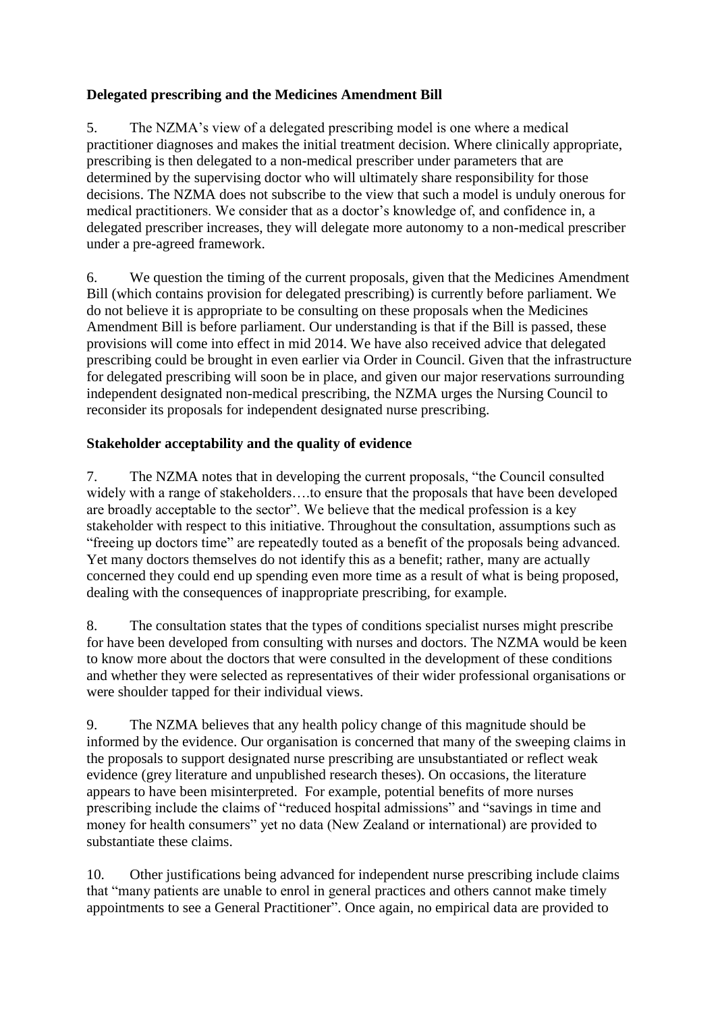## **Delegated prescribing and the Medicines Amendment Bill**

5. The NZMA's view of a delegated prescribing model is one where a medical practitioner diagnoses and makes the initial treatment decision. Where clinically appropriate, prescribing is then delegated to a non-medical prescriber under parameters that are determined by the supervising doctor who will ultimately share responsibility for those decisions. The NZMA does not subscribe to the view that such a model is unduly onerous for medical practitioners. We consider that as a doctor's knowledge of, and confidence in, a delegated prescriber increases, they will delegate more autonomy to a non-medical prescriber under a pre-agreed framework.

6. We question the timing of the current proposals, given that the Medicines Amendment Bill (which contains provision for delegated prescribing) is currently before parliament. We do not believe it is appropriate to be consulting on these proposals when the Medicines Amendment Bill is before parliament. Our understanding is that if the Bill is passed, these provisions will come into effect in mid 2014. We have also received advice that delegated prescribing could be brought in even earlier via Order in Council. Given that the infrastructure for delegated prescribing will soon be in place, and given our major reservations surrounding independent designated non-medical prescribing, the NZMA urges the Nursing Council to reconsider its proposals for independent designated nurse prescribing.

## **Stakeholder acceptability and the quality of evidence**

7. The NZMA notes that in developing the current proposals, "the Council consulted widely with a range of stakeholders….to ensure that the proposals that have been developed are broadly acceptable to the sector". We believe that the medical profession is a key stakeholder with respect to this initiative. Throughout the consultation, assumptions such as "freeing up doctors time" are repeatedly touted as a benefit of the proposals being advanced. Yet many doctors themselves do not identify this as a benefit; rather, many are actually concerned they could end up spending even more time as a result of what is being proposed, dealing with the consequences of inappropriate prescribing, for example.

8. The consultation states that the types of conditions specialist nurses might prescribe for have been developed from consulting with nurses and doctors. The NZMA would be keen to know more about the doctors that were consulted in the development of these conditions and whether they were selected as representatives of their wider professional organisations or were shoulder tapped for their individual views.

9. The NZMA believes that any health policy change of this magnitude should be informed by the evidence. Our organisation is concerned that many of the sweeping claims in the proposals to support designated nurse prescribing are unsubstantiated or reflect weak evidence (grey literature and unpublished research theses). On occasions, the literature appears to have been misinterpreted. For example, potential benefits of more nurses prescribing include the claims of "reduced hospital admissions" and "savings in time and money for health consumers" yet no data (New Zealand or international) are provided to substantiate these claims.

10. Other justifications being advanced for independent nurse prescribing include claims that "many patients are unable to enrol in general practices and others cannot make timely appointments to see a General Practitioner". Once again, no empirical data are provided to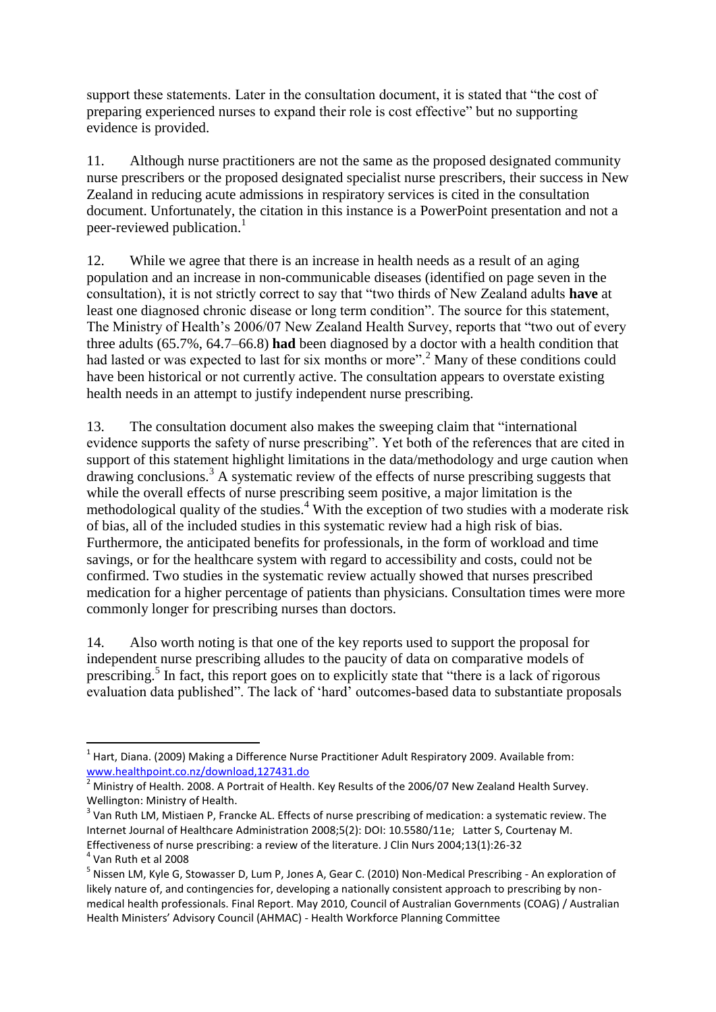support these statements. Later in the consultation document, it is stated that "the cost of preparing experienced nurses to expand their role is cost effective" but no supporting evidence is provided.

11. Although nurse practitioners are not the same as the proposed designated community nurse prescribers or the proposed designated specialist nurse prescribers, their success in New Zealand in reducing acute admissions in respiratory services is cited in the consultation document. Unfortunately, the citation in this instance is a PowerPoint presentation and not a peer-reviewed publication.<sup>1</sup>

12. While we agree that there is an increase in health needs as a result of an aging population and an increase in non-communicable diseases (identified on page seven in the consultation), it is not strictly correct to say that "two thirds of New Zealand adults **have** at least one diagnosed chronic disease or long term condition". The source for this statement, The Ministry of Health's 2006/07 New Zealand Health Survey, reports that "two out of every three adults (65.7%, 64.7–66.8) **had** been diagnosed by a doctor with a health condition that had lasted or was expected to last for six months or more".<sup>2</sup> Many of these conditions could have been historical or not currently active. The consultation appears to overstate existing health needs in an attempt to justify independent nurse prescribing.

13. The consultation document also makes the sweeping claim that "international evidence supports the safety of nurse prescribing". Yet both of the references that are cited in support of this statement highlight limitations in the data/methodology and urge caution when drawing conclusions.<sup>3</sup> A systematic review of the effects of nurse prescribing suggests that while the overall effects of nurse prescribing seem positive, a major limitation is the methodological quality of the studies.<sup>4</sup> With the exception of two studies with a moderate risk of bias, all of the included studies in this systematic review had a high risk of bias. Furthermore, the anticipated benefits for professionals, in the form of workload and time savings, or for the healthcare system with regard to accessibility and costs, could not be confirmed. Two studies in the systematic review actually showed that nurses prescribed medication for a higher percentage of patients than physicians. Consultation times were more commonly longer for prescribing nurses than doctors.

14. Also worth noting is that one of the key reports used to support the proposal for independent nurse prescribing alludes to the paucity of data on comparative models of prescribing. 5 In fact, this report goes on to explicitly state that "there is a lack of rigorous evaluation data published". The lack of 'hard' outcomes-based data to substantiate proposals

 $\overline{a}$ 

 $^{1}$  Hart, Diana. (2009) Making a Difference Nurse Practitioner Adult Respiratory 2009. Available from: [www.healthpoint.co.nz/download,127431.do](http://www.healthpoint.co.nz/download,127431.do)

<sup>2</sup> Ministry of Health. 2008. A Portrait of Health. Key Results of the 2006/07 New Zealand Health Survey. Wellington: Ministry of Health.

 $3$  Van Ruth LM, Mistiaen P, Francke AL. Effects of nurse prescribing of medication: a systematic review. The Internet Journal of Healthcare Administration 2008;5(2): DOI: 10.5580/11e; Latter S, Courtenay M. Effectiveness of nurse prescribing: a review of the literature. J Clin Nurs 2004;13(1):26-32

<sup>4</sup> Van Ruth et al 2008

<sup>&</sup>lt;sup>5</sup> Nissen LM, Kyle G, Stowasser D, Lum P, Jones A, Gear C. (2010) Non-Medical Prescribing - An exploration of likely nature of, and contingencies for, developing a nationally consistent approach to prescribing by nonmedical health professionals. Final Report. May 2010, Council of Australian Governments (COAG) / Australian Health Ministers' Advisory Council (AHMAC) - Health Workforce Planning Committee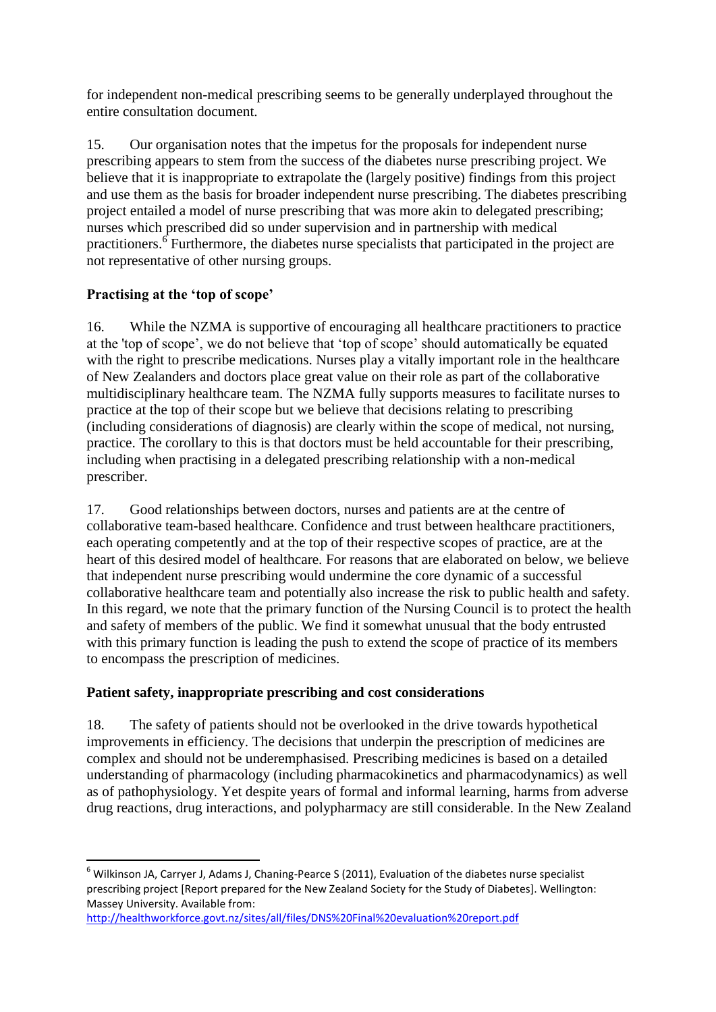for independent non-medical prescribing seems to be generally underplayed throughout the entire consultation document.

15. Our organisation notes that the impetus for the proposals for independent nurse prescribing appears to stem from the success of the diabetes nurse prescribing project. We believe that it is inappropriate to extrapolate the (largely positive) findings from this project and use them as the basis for broader independent nurse prescribing. The diabetes prescribing project entailed a model of nurse prescribing that was more akin to delegated prescribing; nurses which prescribed did so under supervision and in partnership with medical practitioners.<sup>6</sup> Furthermore, the diabetes nurse specialists that participated in the project are not representative of other nursing groups.

## **Practising at the 'top of scope'**

**.** 

16. While the NZMA is supportive of encouraging all healthcare practitioners to practice at the 'top of scope', we do not believe that 'top of scope' should automatically be equated with the right to prescribe medications. Nurses play a vitally important role in the healthcare of New Zealanders and doctors place great value on their role as part of the collaborative multidisciplinary healthcare team. The NZMA fully supports measures to facilitate nurses to practice at the top of their scope but we believe that decisions relating to prescribing (including considerations of diagnosis) are clearly within the scope of medical, not nursing, practice. The corollary to this is that doctors must be held accountable for their prescribing, including when practising in a delegated prescribing relationship with a non-medical prescriber.

17. Good relationships between doctors, nurses and patients are at the centre of collaborative team-based healthcare. Confidence and trust between healthcare practitioners, each operating competently and at the top of their respective scopes of practice, are at the heart of this desired model of healthcare. For reasons that are elaborated on below, we believe that independent nurse prescribing would undermine the core dynamic of a successful collaborative healthcare team and potentially also increase the risk to public health and safety. In this regard, we note that the primary function of the Nursing Council is to protect the health and safety of members of the public. We find it somewhat unusual that the body entrusted with this primary function is leading the push to extend the scope of practice of its members to encompass the prescription of medicines.

## **Patient safety, inappropriate prescribing and cost considerations**

18. The safety of patients should not be overlooked in the drive towards hypothetical improvements in efficiency. The decisions that underpin the prescription of medicines are complex and should not be underemphasised. Prescribing medicines is based on a detailed understanding of pharmacology (including pharmacokinetics and pharmacodynamics) as well as of pathophysiology. Yet despite years of formal and informal learning, harms from adverse drug reactions, drug interactions, and polypharmacy are still considerable. In the New Zealand

<sup>6</sup> Wilkinson JA, Carryer J, Adams J, Chaning-Pearce S (2011), Evaluation of the diabetes nurse specialist prescribing project [Report prepared for the New Zealand Society for the Study of Diabetes]. Wellington: Massey University. Available from:

<http://healthworkforce.govt.nz/sites/all/files/DNS%20Final%20evaluation%20report.pdf>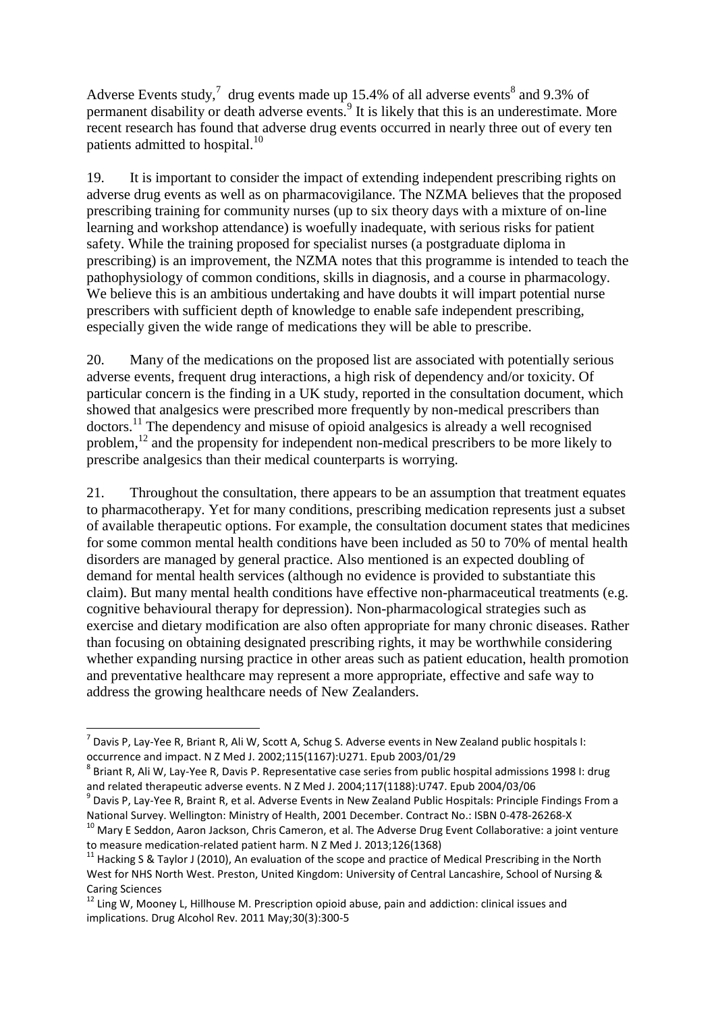Adverse Events study,<sup>7</sup> drug events made up 15.4% of all adverse events<sup>8</sup> and 9.3% of permanent disability or death adverse events.<sup>9</sup> It is likely that this is an underestimate. More recent research has found that adverse drug events occurred in nearly three out of every ten patients admitted to hospital.<sup>10</sup>

19. It is important to consider the impact of extending independent prescribing rights on adverse drug events as well as on pharmacovigilance. The NZMA believes that the proposed prescribing training for community nurses (up to six theory days with a mixture of on-line learning and workshop attendance) is woefully inadequate, with serious risks for patient safety. While the training proposed for specialist nurses (a postgraduate diploma in prescribing) is an improvement, the NZMA notes that this programme is intended to teach the pathophysiology of common conditions, skills in diagnosis, and a course in pharmacology. We believe this is an ambitious undertaking and have doubts it will impart potential nurse prescribers with sufficient depth of knowledge to enable safe independent prescribing, especially given the wide range of medications they will be able to prescribe.

20. Many of the medications on the proposed list are associated with potentially serious adverse events, frequent drug interactions, a high risk of dependency and/or toxicity. Of particular concern is the finding in a UK study, reported in the consultation document, which showed that analgesics were prescribed more frequently by non-medical prescribers than doctors.<sup>11</sup> The dependency and misuse of opioid analgesics is already a well recognised problem,<sup>12</sup> and the propensity for independent non-medical prescribers to be more likely to prescribe analgesics than their medical counterparts is worrying.

21. Throughout the consultation, there appears to be an assumption that treatment equates to pharmacotherapy. Yet for many conditions, prescribing medication represents just a subset of available therapeutic options. For example, the consultation document states that medicines for some common mental health conditions have been included as 50 to 70% of mental health disorders are managed by general practice. Also mentioned is an expected doubling of demand for mental health services (although no evidence is provided to substantiate this claim). But many mental health conditions have effective non-pharmaceutical treatments (e.g. cognitive behavioural therapy for depression). Non-pharmacological strategies such as exercise and dietary modification are also often appropriate for many chronic diseases. Rather than focusing on obtaining designated prescribing rights, it may be worthwhile considering whether expanding nursing practice in other areas such as patient education, health promotion and preventative healthcare may represent a more appropriate, effective and safe way to address the growing healthcare needs of New Zealanders.

1

 $^7$  Davis P, Lay-Yee R, Briant R, Ali W, Scott A, Schug S. Adverse events in New Zealand public hospitals I: occurrence and impact. N Z Med J. 2002;115(1167):U271. Epub 2003/01/29

 $^8$  Briant R, Ali W, Lay-Yee R, Davis P. Representative case series from public hospital admissions 1998 I: drug and related therapeutic adverse events. N Z Med J. 2004;117(1188):U747. Epub 2004/03/06

<sup>&</sup>lt;sup>9</sup> Davis P, Lay-Yee R, Braint R, et al. Adverse Events in New Zealand Public Hospitals: Principle Findings From a National Survey. Wellington: Ministry of Health, 2001 December. Contract No.: ISBN 0-478-26268-X

<sup>10</sup> Mary E Seddon, Aaron Jackson, Chris Cameron, et al. The Adverse Drug Event Collaborative: a joint venture to measure medication-related patient harm. N Z Med J. 2013;126(1368)

<sup>&</sup>lt;sup>11</sup> Hacking S & Taylor J (2010), An evaluation of the scope and practice of Medical Prescribing in the North West for NHS North West. Preston, United Kingdom: University of Central Lancashire, School of Nursing & Caring Sciences

 $12$  Ling W, Mooney L, Hillhouse M. Prescription opioid abuse, pain and addiction: clinical issues and implications. Drug Alcohol Rev. 2011 May;30(3):300-5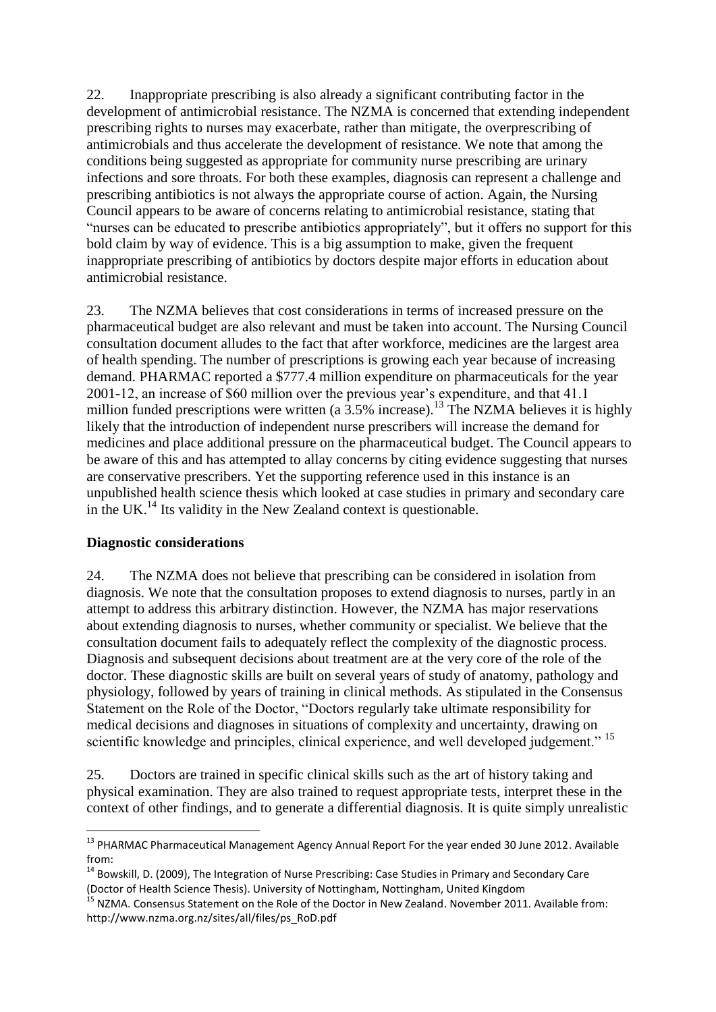22. Inappropriate prescribing is also already a significant contributing factor in the development of antimicrobial resistance. The NZMA is concerned that extending independent prescribing rights to nurses may exacerbate, rather than mitigate, the overprescribing of antimicrobials and thus accelerate the development of resistance. We note that among the conditions being suggested as appropriate for community nurse prescribing are urinary infections and sore throats. For both these examples, diagnosis can represent a challenge and prescribing antibiotics is not always the appropriate course of action. Again, the Nursing Council appears to be aware of concerns relating to antimicrobial resistance, stating that "nurses can be educated to prescribe antibiotics appropriately", but it offers no support for this bold claim by way of evidence. This is a big assumption to make, given the frequent inappropriate prescribing of antibiotics by doctors despite major efforts in education about antimicrobial resistance.

23. The NZMA believes that cost considerations in terms of increased pressure on the pharmaceutical budget are also relevant and must be taken into account. The Nursing Council consultation document alludes to the fact that after workforce, medicines are the largest area of health spending. The number of prescriptions is growing each year because of increasing demand. PHARMAC reported a \$777.4 million expenditure on pharmaceuticals for the year 2001-12, an increase of \$60 million over the previous year's expenditure, and that 41.1 million funded prescriptions were written (a  $3.5\%$  increase).<sup>13</sup> The NZMA believes it is highly likely that the introduction of independent nurse prescribers will increase the demand for medicines and place additional pressure on the pharmaceutical budget. The Council appears to be aware of this and has attempted to allay concerns by citing evidence suggesting that nurses are conservative prescribers. Yet the supporting reference used in this instance is an unpublished health science thesis which looked at case studies in primary and secondary care in the UK.<sup>14</sup> Its validity in the New Zealand context is questionable.

#### **Diagnostic considerations**

**.** 

24. The NZMA does not believe that prescribing can be considered in isolation from diagnosis. We note that the consultation proposes to extend diagnosis to nurses, partly in an attempt to address this arbitrary distinction. However, the NZMA has major reservations about extending diagnosis to nurses, whether community or specialist. We believe that the consultation document fails to adequately reflect the complexity of the diagnostic process. Diagnosis and subsequent decisions about treatment are at the very core of the role of the doctor. These diagnostic skills are built on several years of study of anatomy, pathology and physiology, followed by years of training in clinical methods. As stipulated in the Consensus Statement on the Role of the Doctor, "Doctors regularly take ultimate responsibility for medical decisions and diagnoses in situations of complexity and uncertainty, drawing on scientific knowledge and principles, clinical experience, and well developed judgement." <sup>15</sup>

25. Doctors are trained in specific clinical skills such as the art of history taking and physical examination. They are also trained to request appropriate tests, interpret these in the context of other findings, and to generate a differential diagnosis. It is quite simply unrealistic

<sup>&</sup>lt;sup>13</sup> PHARMAC Pharmaceutical Management Agency Annual Report For the year ended 30 June 2012. Available from:

<sup>&</sup>lt;sup>14</sup> Bowskill, D. (2009), The Integration of Nurse Prescribing: Case Studies in Primary and Secondary Care (Doctor of Health Science Thesis). University of Nottingham, Nottingham, United Kingdom

<sup>&</sup>lt;sup>15</sup> NZMA. Consensus Statement on the Role of the Doctor in New Zealand. November 2011. Available from: http://www.nzma.org.nz/sites/all/files/ps\_RoD.pdf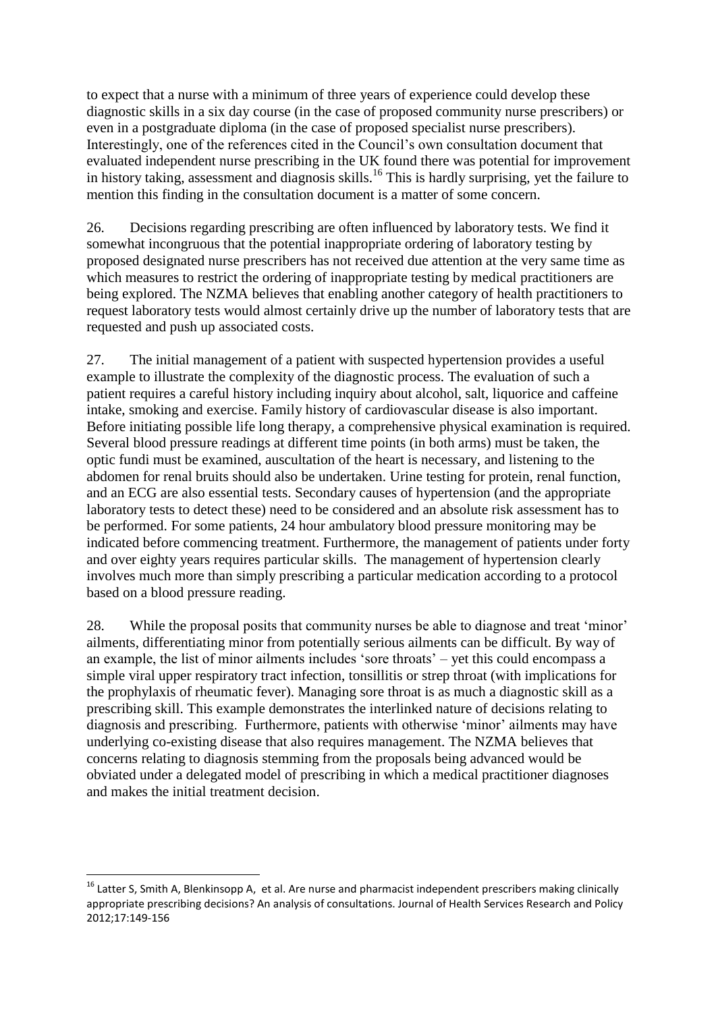to expect that a nurse with a minimum of three years of experience could develop these diagnostic skills in a six day course (in the case of proposed community nurse prescribers) or even in a postgraduate diploma (in the case of proposed specialist nurse prescribers). Interestingly, one of the references cited in the Council's own consultation document that evaluated independent nurse prescribing in the UK found there was potential for improvement in history taking, assessment and diagnosis skills.<sup>16</sup> This is hardly surprising, yet the failure to mention this finding in the consultation document is a matter of some concern.

26. Decisions regarding prescribing are often influenced by laboratory tests. We find it somewhat incongruous that the potential inappropriate ordering of laboratory testing by proposed designated nurse prescribers has not received due attention at the very same time as which measures to restrict the ordering of inappropriate testing by medical practitioners are being explored. The NZMA believes that enabling another category of health practitioners to request laboratory tests would almost certainly drive up the number of laboratory tests that are requested and push up associated costs.

27. The initial management of a patient with suspected hypertension provides a useful example to illustrate the complexity of the diagnostic process. The evaluation of such a patient requires a careful history including inquiry about alcohol, salt, liquorice and caffeine intake, smoking and exercise. Family history of cardiovascular disease is also important. Before initiating possible life long therapy, a comprehensive physical examination is required. Several blood pressure readings at different time points (in both arms) must be taken, the optic fundi must be examined, auscultation of the heart is necessary, and listening to the abdomen for renal bruits should also be undertaken. Urine testing for protein, renal function, and an ECG are also essential tests. Secondary causes of hypertension (and the appropriate laboratory tests to detect these) need to be considered and an absolute risk assessment has to be performed. For some patients, 24 hour ambulatory blood pressure monitoring may be indicated before commencing treatment. Furthermore, the management of patients under forty and over eighty years requires particular skills. The management of hypertension clearly involves much more than simply prescribing a particular medication according to a protocol based on a blood pressure reading.

28. While the proposal posits that community nurses be able to diagnose and treat 'minor' ailments, differentiating minor from potentially serious ailments can be difficult. By way of an example, the list of minor ailments includes 'sore throats' – yet this could encompass a simple viral upper respiratory tract infection, tonsillitis or strep throat (with implications for the prophylaxis of rheumatic fever). Managing sore throat is as much a diagnostic skill as a prescribing skill. This example demonstrates the interlinked nature of decisions relating to diagnosis and prescribing. Furthermore, patients with otherwise 'minor' ailments may have underlying co-existing disease that also requires management. The NZMA believes that concerns relating to diagnosis stemming from the proposals being advanced would be obviated under a delegated model of prescribing in which a medical practitioner diagnoses and makes the initial treatment decision.

**.** 

<sup>&</sup>lt;sup>16</sup> Latter S, Smith A, Blenkinsopp A, et al. Are nurse and pharmacist independent prescribers making clinically appropriate prescribing decisions? An analysis of consultations. Journal of Health Services Research and Policy 2012;17:149-156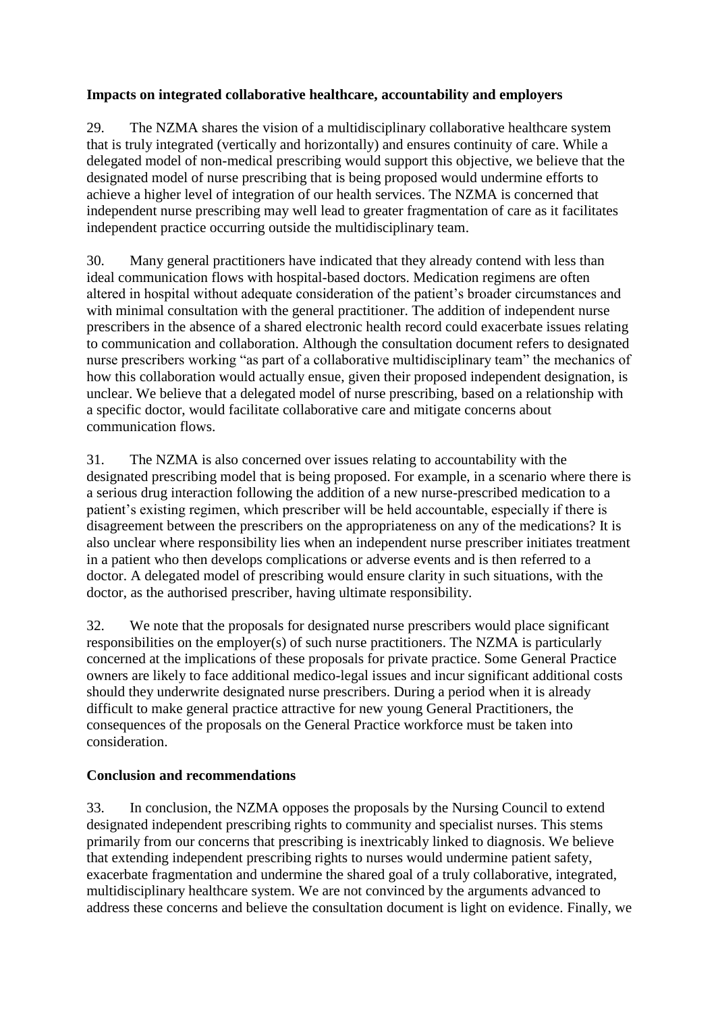#### **Impacts on integrated collaborative healthcare, accountability and employers**

29. The NZMA shares the vision of a multidisciplinary collaborative healthcare system that is truly integrated (vertically and horizontally) and ensures continuity of care. While a delegated model of non-medical prescribing would support this objective, we believe that the designated model of nurse prescribing that is being proposed would undermine efforts to achieve a higher level of integration of our health services. The NZMA is concerned that independent nurse prescribing may well lead to greater fragmentation of care as it facilitates independent practice occurring outside the multidisciplinary team.

30. Many general practitioners have indicated that they already contend with less than ideal communication flows with hospital-based doctors. Medication regimens are often altered in hospital without adequate consideration of the patient's broader circumstances and with minimal consultation with the general practitioner. The addition of independent nurse prescribers in the absence of a shared electronic health record could exacerbate issues relating to communication and collaboration. Although the consultation document refers to designated nurse prescribers working "as part of a collaborative multidisciplinary team" the mechanics of how this collaboration would actually ensue, given their proposed independent designation, is unclear. We believe that a delegated model of nurse prescribing, based on a relationship with a specific doctor, would facilitate collaborative care and mitigate concerns about communication flows.

31. The NZMA is also concerned over issues relating to accountability with the designated prescribing model that is being proposed. For example, in a scenario where there is a serious drug interaction following the addition of a new nurse-prescribed medication to a patient's existing regimen, which prescriber will be held accountable, especially if there is disagreement between the prescribers on the appropriateness on any of the medications? It is also unclear where responsibility lies when an independent nurse prescriber initiates treatment in a patient who then develops complications or adverse events and is then referred to a doctor. A delegated model of prescribing would ensure clarity in such situations, with the doctor, as the authorised prescriber, having ultimate responsibility.

32. We note that the proposals for designated nurse prescribers would place significant responsibilities on the employer(s) of such nurse practitioners. The NZMA is particularly concerned at the implications of these proposals for private practice. Some General Practice owners are likely to face additional medico-legal issues and incur significant additional costs should they underwrite designated nurse prescribers. During a period when it is already difficult to make general practice attractive for new young General Practitioners, the consequences of the proposals on the General Practice workforce must be taken into consideration.

#### **Conclusion and recommendations**

33. In conclusion, the NZMA opposes the proposals by the Nursing Council to extend designated independent prescribing rights to community and specialist nurses. This stems primarily from our concerns that prescribing is inextricably linked to diagnosis. We believe that extending independent prescribing rights to nurses would undermine patient safety, exacerbate fragmentation and undermine the shared goal of a truly collaborative, integrated, multidisciplinary healthcare system. We are not convinced by the arguments advanced to address these concerns and believe the consultation document is light on evidence. Finally, we